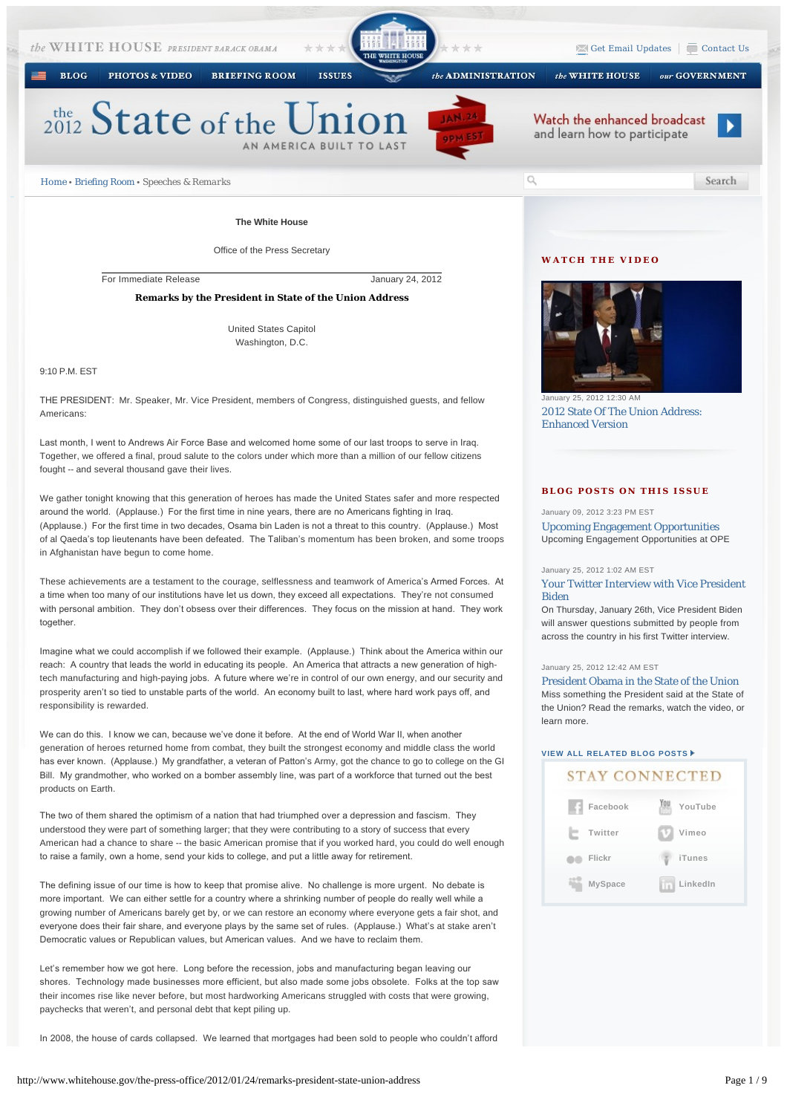PHOTOS & VIDEO

**BRIEFING ROOM ISSUES**  the ADMINISTRATION

 $\blacktriangleright$  [Get Email Updates](http://www.whitehouse.gov/get-email-updates)  $\sqrt{\square}$  [Contact Us](http://www.whitehouse.gov/contact)

our GOVERNMENT

ь

Search

# $_{2012}^{the}$  State of the Unio AN AMERICA BUILT TO LA



 $\circ$ 



*[Home](http://www.whitehouse.gov/) • [Briefing Room](http://www.whitehouse.gov/briefing-room) • Speeches & Remarks*

# **The White House**

Office of the Press Secretary

For Immediate Release January 24, 2012

**Remarks by the President in State of the Union Address**

United States Capitol Washington, D.C.

9:10 P.M. EST

**BLOG** 

THE PRESIDENT: Mr. Speaker, Mr. Vice President, members of Congress, distinguished guests, and fellow Americans:

Last month, I went to Andrews Air Force Base and welcomed home some of our last troops to serve in Iraq. Together, we offered a final, proud salute to the colors under which more than a million of our fellow citizens fought -- and several thousand gave their lives.

We gather tonight knowing that this generation of heroes has made the United States safer and more respected around the world. (Applause.) For the first time in nine years, there are no Americans fighting in Iraq. (Applause.) For the first time in two decades, Osama bin Laden is not a threat to this country. (Applause.) Most of al Qaeda's top lieutenants have been defeated. The Taliban's momentum has been broken, and some troops in Afghanistan have begun to come home.

These achievements are a testament to the courage, selflessness and teamwork of America's Armed Forces. At a time when too many of our institutions have let us down, they exceed all expectations. They're not consumed with personal ambition. They don't obsess over their differences. They focus on the mission at hand. They work together.

Imagine what we could accomplish if we followed their example. (Applause.) Think about the America within our reach: A country that leads the world in educating its people. An America that attracts a new generation of hightech manufacturing and high-paying jobs. A future where we're in control of our own energy, and our security and prosperity aren't so tied to unstable parts of the world. An economy built to last, where hard work pays off, and responsibility is rewarded.

We can do this. I know we can, because we've done it before. At the end of World War II, when another generation of heroes returned home from combat, they built the strongest economy and middle class the world has ever known. (Applause.) My grandfather, a veteran of Patton's Army, got the chance to go to college on the GI Bill. My grandmother, who worked on a bomber assembly line, was part of a workforce that turned out the best products on Earth.

The two of them shared the optimism of a nation that had triumphed over a depression and fascism. They understood they were part of something larger; that they were contributing to a story of success that every American had a chance to share -- the basic American promise that if you worked hard, you could do well enough to raise a family, own a home, send your kids to college, and put a little away for retirement.

The defining issue of our time is how to keep that promise alive. No challenge is more urgent. No debate is more important. We can either settle for a country where a shrinking number of people do really well while a growing number of Americans barely get by, or we can restore an economy where everyone gets a fair shot, and everyone does their fair share, and everyone plays by the same set of rules. (Applause.) What's at stake aren't Democratic values or Republican values, but American values. And we have to reclaim them.

Let's remember how we got here. Long before the recession, jobs and manufacturing began leaving our shores. Technology made businesses more efficient, but also made some jobs obsolete. Folks at the top saw their incomes rise like never before, but most hardworking Americans struggled with costs that were growing, paychecks that weren't, and personal debt that kept piling up.

In 2008, the house of cards collapsed. We learned that mortgages had been sold to people who couldn't afford

# **WATCH THE VIDEO**

the WHITE HOUSE



nuary 25, 2012 12:30 AM [2012 State Of The Union Address:](http://www.whitehouse.gov/photos-and-video/video/2012/01/25/2012-state-union-address-enhanced-version)  Enhanced Version

## **BLOG POSTS ON THIS ISSUE**

### January 09, 2012 3:23 PM EST

[Upcoming Engagement Opportunities](http://www.whitehouse.gov/blog/2012/01/09/upcoming-engagement-opportunities) Upcoming Engagement Opportunities at OPE

### January 25, 2012 1:02 AM EST

[Your Twitter Interview with Vice President](http://www.whitehouse.gov/blog/2012/01/25/your-twitter-interview-vice-president-biden)  Biden

On Thursday, January 26th, Vice President Biden will answer questions submitted by people from across the country in his first Twitter interview.

#### January 25, 2012 12:42 AM EST

[President Obama in the State of the Union](http://www.whitehouse.gov/blog/2012/01/25/president-obama-state-union) Miss something the President said at the State of the Union? Read the remarks, watch the video, or learn more.

# **[VIEW ALL RELATED BLOG POSTS](http://www.whitehouse.gov/blog/issues/all)**

# **STAY CONNECTED**

| Facebook       | YouTube  |
|----------------|----------|
| Twitter        | Vimeo    |
| Flickr         | iTunes   |
| <b>MySpace</b> | LinkedIn |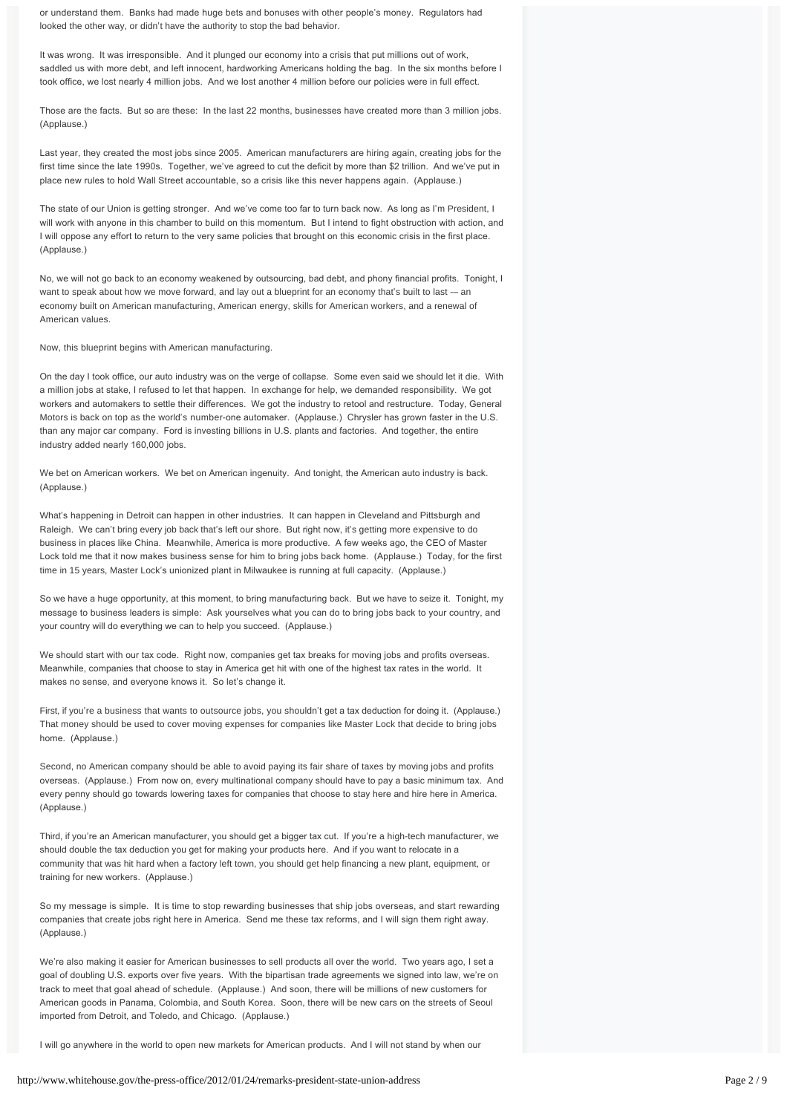or understand them. Banks had made huge bets and bonuses with other people's money. Regulators had looked the other way, or didn't have the authority to stop the bad behavior.

It was wrong. It was irresponsible. And it plunged our economy into a crisis that put millions out of work, saddled us with more debt, and left innocent, hardworking Americans holding the bag. In the six months before I took office, we lost nearly 4 million jobs. And we lost another 4 million before our policies were in full effect.

Those are the facts. But so are these: In the last 22 months, businesses have created more than 3 million jobs. (Applause.)

Last year, they created the most jobs since 2005. American manufacturers are hiring again, creating jobs for the first time since the late 1990s. Together, we've agreed to cut the deficit by more than \$2 trillion. And we've put in place new rules to hold Wall Street accountable, so a crisis like this never happens again. (Applause.)

The state of our Union is getting stronger. And we've come too far to turn back now. As long as I'm President, I will work with anyone in this chamber to build on this momentum. But I intend to fight obstruction with action, and I will oppose any effort to return to the very same policies that brought on this economic crisis in the first place. (Applause.)

No, we will not go back to an economy weakened by outsourcing, bad debt, and phony financial profits. Tonight, I want to speak about how we move forward, and lay out a blueprint for an economy that's built to last -- an economy built on American manufacturing, American energy, skills for American workers, and a renewal of American values.

Now, this blueprint begins with American manufacturing.

On the day I took office, our auto industry was on the verge of collapse. Some even said we should let it die. With a million jobs at stake, I refused to let that happen. In exchange for help, we demanded responsibility. We got workers and automakers to settle their differences. We got the industry to retool and restructure. Today, General Motors is back on top as the world's number-one automaker. (Applause.) Chrysler has grown faster in the U.S. than any major car company. Ford is investing billions in U.S. plants and factories. And together, the entire industry added nearly 160,000 jobs.

We bet on American workers. We bet on American ingenuity. And tonight, the American auto industry is back. (Applause.)

What's happening in Detroit can happen in other industries. It can happen in Cleveland and Pittsburgh and Raleigh. We can't bring every job back that's left our shore. But right now, it's getting more expensive to do business in places like China. Meanwhile, America is more productive. A few weeks ago, the CEO of Master Lock told me that it now makes business sense for him to bring jobs back home. (Applause.) Today, for the first time in 15 years, Master Lock's unionized plant in Milwaukee is running at full capacity. (Applause.)

So we have a huge opportunity, at this moment, to bring manufacturing back. But we have to seize it. Tonight, my message to business leaders is simple: Ask yourselves what you can do to bring jobs back to your country, and your country will do everything we can to help you succeed. (Applause.)

We should start with our tax code. Right now, companies get tax breaks for moving jobs and profits overseas. Meanwhile, companies that choose to stay in America get hit with one of the highest tax rates in the world. It makes no sense, and everyone knows it. So let's change it.

First, if you're a business that wants to outsource jobs, you shouldn't get a tax deduction for doing it. (Applause.) That money should be used to cover moving expenses for companies like Master Lock that decide to bring jobs home. (Applause.)

Second, no American company should be able to avoid paying its fair share of taxes by moving jobs and profits overseas. (Applause.) From now on, every multinational company should have to pay a basic minimum tax. And every penny should go towards lowering taxes for companies that choose to stay here and hire here in America. (Applause.)

Third, if you're an American manufacturer, you should get a bigger tax cut. If you're a high-tech manufacturer, we should double the tax deduction you get for making your products here. And if you want to relocate in a community that was hit hard when a factory left town, you should get help financing a new plant, equipment, or training for new workers. (Applause.)

So my message is simple. It is time to stop rewarding businesses that ship jobs overseas, and start rewarding companies that create jobs right here in America. Send me these tax reforms, and I will sign them right away. (Applause.)

We're also making it easier for American businesses to sell products all over the world. Two years ago, I set a goal of doubling U.S. exports over five years. With the bipartisan trade agreements we signed into law, we're on track to meet that goal ahead of schedule. (Applause.) And soon, there will be millions of new customers for American goods in Panama, Colombia, and South Korea. Soon, there will be new cars on the streets of Seoul imported from Detroit, and Toledo, and Chicago. (Applause.)

I will go anywhere in the world to open new markets for American products. And I will not stand by when our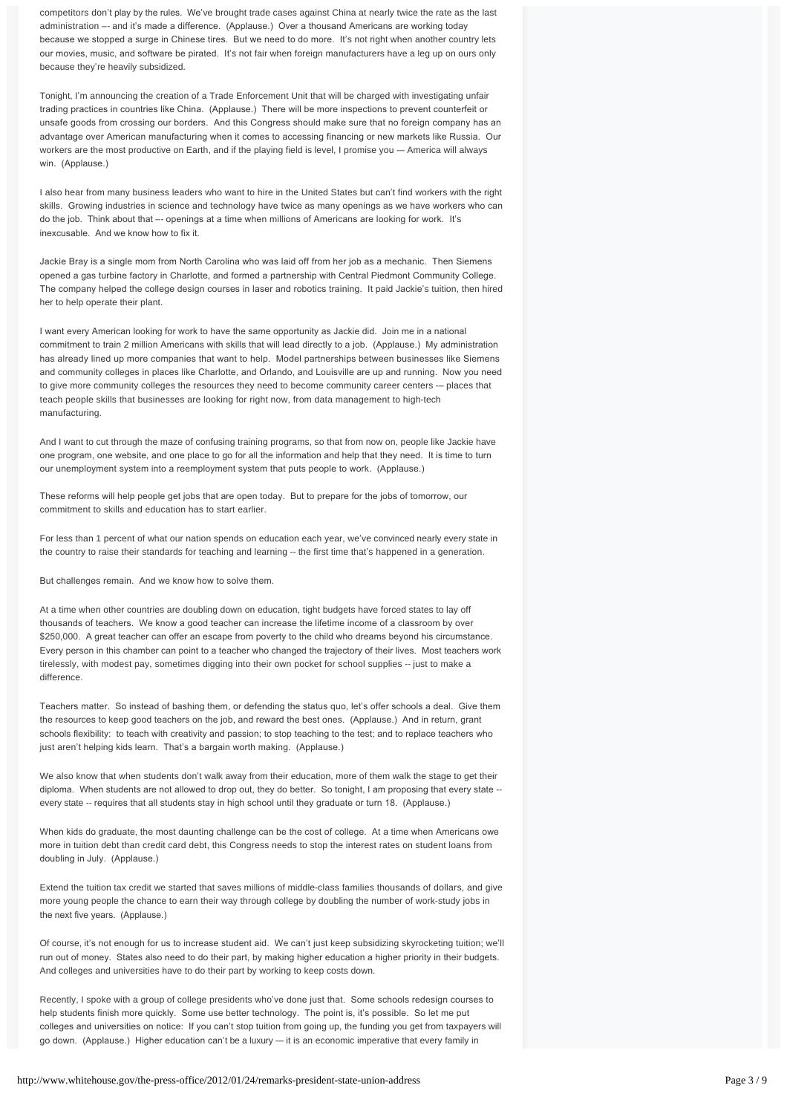competitors don't play by the rules. We've brought trade cases against China at nearly twice the rate as the last administration –- and it's made a difference. (Applause.) Over a thousand Americans are working today because we stopped a surge in Chinese tires. But we need to do more. It's not right when another country lets our movies, music, and software be pirated. It's not fair when foreign manufacturers have a leg up on ours only because they're heavily subsidized.

Tonight, I'm announcing the creation of a Trade Enforcement Unit that will be charged with investigating unfair trading practices in countries like China. (Applause.) There will be more inspections to prevent counterfeit or unsafe goods from crossing our borders. And this Congress should make sure that no foreign company has an advantage over American manufacturing when it comes to accessing financing or new markets like Russia. Our workers are the most productive on Earth, and if the playing field is level, I promise you -– America will always win. (Applause.)

I also hear from many business leaders who want to hire in the United States but can't find workers with the right skills. Growing industries in science and technology have twice as many openings as we have workers who can do the job. Think about that –- openings at a time when millions of Americans are looking for work. It's inexcusable. And we know how to fix it.

Jackie Bray is a single mom from North Carolina who was laid off from her job as a mechanic. Then Siemens opened a gas turbine factory in Charlotte, and formed a partnership with Central Piedmont Community College. The company helped the college design courses in laser and robotics training. It paid Jackie's tuition, then hired her to help operate their plant.

I want every American looking for work to have the same opportunity as Jackie did. Join me in a national commitment to train 2 million Americans with skills that will lead directly to a job. (Applause.) My administration has already lined up more companies that want to help. Model partnerships between businesses like Siemens and community colleges in places like Charlotte, and Orlando, and Louisville are up and running. Now you need to give more community colleges the resources they need to become community career centers -– places that teach people skills that businesses are looking for right now, from data management to high-tech manufacturing.

And I want to cut through the maze of confusing training programs, so that from now on, people like Jackie have one program, one website, and one place to go for all the information and help that they need. It is time to turn our unemployment system into a reemployment system that puts people to work. (Applause.)

These reforms will help people get jobs that are open today. But to prepare for the jobs of tomorrow, our commitment to skills and education has to start earlier.

For less than 1 percent of what our nation spends on education each year, we've convinced nearly every state in the country to raise their standards for teaching and learning -- the first time that's happened in a generation.

But challenges remain. And we know how to solve them.

At a time when other countries are doubling down on education, tight budgets have forced states to lay off thousands of teachers. We know a good teacher can increase the lifetime income of a classroom by over \$250,000. A great teacher can offer an escape from poverty to the child who dreams beyond his circumstance. Every person in this chamber can point to a teacher who changed the trajectory of their lives. Most teachers work tirelessly, with modest pay, sometimes digging into their own pocket for school supplies -- just to make a difference.

Teachers matter. So instead of bashing them, or defending the status quo, let's offer schools a deal. Give them the resources to keep good teachers on the job, and reward the best ones. (Applause.) And in return, grant schools flexibility: to teach with creativity and passion; to stop teaching to the test; and to replace teachers who just aren't helping kids learn. That's a bargain worth making. (Applause.)

We also know that when students don't walk away from their education, more of them walk the stage to get their diploma. When students are not allowed to drop out, they do better. So tonight, I am proposing that every state -every state -- requires that all students stay in high school until they graduate or turn 18. (Applause.)

When kids do graduate, the most daunting challenge can be the cost of college. At a time when Americans owe more in tuition debt than credit card debt, this Congress needs to stop the interest rates on student loans from doubling in July. (Applause.)

Extend the tuition tax credit we started that saves millions of middle-class families thousands of dollars, and give more young people the chance to earn their way through college by doubling the number of work-study jobs in the next five years. (Applause.)

Of course, it's not enough for us to increase student aid. We can't just keep subsidizing skyrocketing tuition; we'll run out of money. States also need to do their part, by making higher education a higher priority in their budgets. And colleges and universities have to do their part by working to keep costs down.

Recently, I spoke with a group of college presidents who've done just that. Some schools redesign courses to help students finish more quickly. Some use better technology. The point is, it's possible. So let me put colleges and universities on notice: If you can't stop tuition from going up, the funding you get from taxpayers will go down. (Applause.) Higher education can't be a luxury -– it is an economic imperative that every family in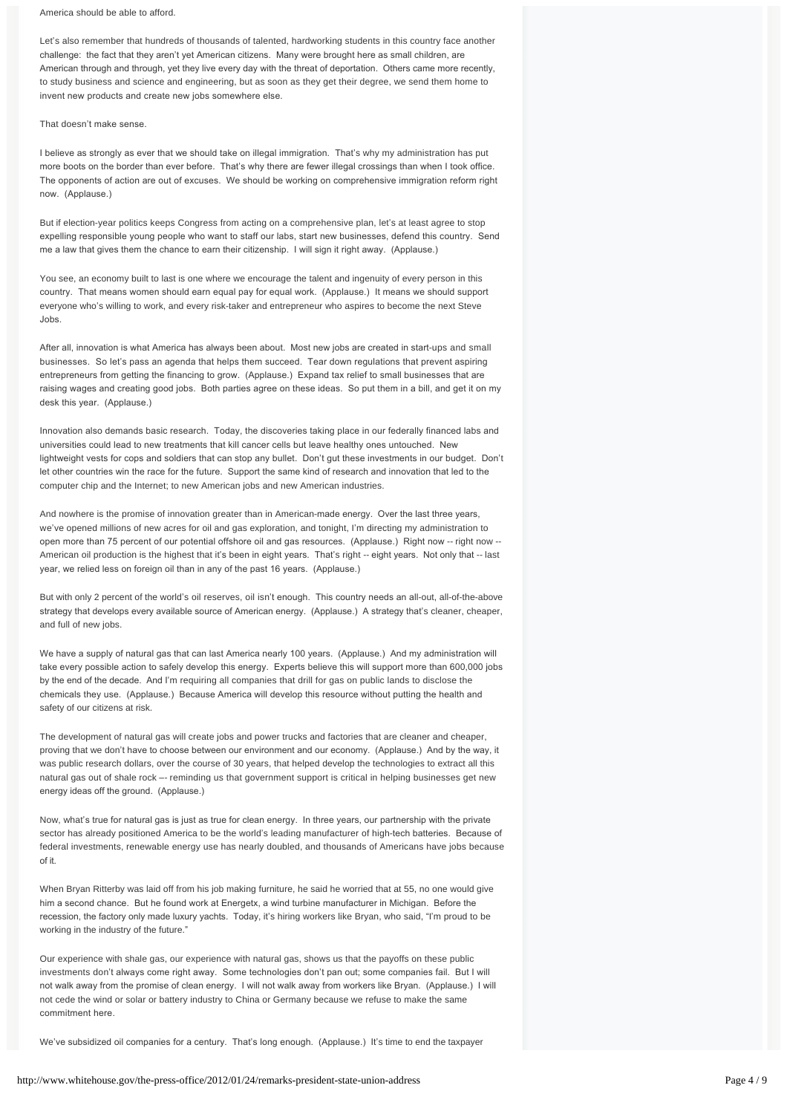### America should be able to afford.

Let's also remember that hundreds of thousands of talented, hardworking students in this country face another challenge: the fact that they aren't yet American citizens. Many were brought here as small children, are American through and through, yet they live every day with the threat of deportation. Others came more recently, to study business and science and engineering, but as soon as they get their degree, we send them home to invent new products and create new jobs somewhere else.

### That doesn't make sense.

I believe as strongly as ever that we should take on illegal immigration. That's why my administration has put more boots on the border than ever before. That's why there are fewer illegal crossings than when I took office. The opponents of action are out of excuses. We should be working on comprehensive immigration reform right now. (Applause.)

But if election-year politics keeps Congress from acting on a comprehensive plan, let's at least agree to stop expelling responsible young people who want to staff our labs, start new businesses, defend this country. Send me a law that gives them the chance to earn their citizenship. I will sign it right away. (Applause.)

You see, an economy built to last is one where we encourage the talent and ingenuity of every person in this country. That means women should earn equal pay for equal work. (Applause.) It means we should support everyone who's willing to work, and every risk-taker and entrepreneur who aspires to become the next Steve Jobs.

After all, innovation is what America has always been about. Most new jobs are created in start-ups and small businesses. So let's pass an agenda that helps them succeed. Tear down regulations that prevent aspiring entrepreneurs from getting the financing to grow. (Applause.) Expand tax relief to small businesses that are raising wages and creating good jobs. Both parties agree on these ideas. So put them in a bill, and get it on my desk this year. (Applause.)

Innovation also demands basic research. Today, the discoveries taking place in our federally financed labs and universities could lead to new treatments that kill cancer cells but leave healthy ones untouched. New lightweight vests for cops and soldiers that can stop any bullet. Don't gut these investments in our budget. Don't let other countries win the race for the future. Support the same kind of research and innovation that led to the computer chip and the Internet; to new American jobs and new American industries.

And nowhere is the promise of innovation greater than in American-made energy. Over the last three years, we've opened millions of new acres for oil and gas exploration, and tonight, I'm directing my administration to open more than 75 percent of our potential offshore oil and gas resources. (Applause.) Right now -- right now -- American oil production is the highest that it's been in eight years. That's right -- eight years. Not only that -- last year, we relied less on foreign oil than in any of the past 16 years. (Applause.)

But with only 2 percent of the world's oil reserves, oil isn't enough. This country needs an all-out, all-of-the-above strategy that develops every available source of American energy. (Applause.) A strategy that's cleaner, cheaper, and full of new jobs.

We have a supply of natural gas that can last America nearly 100 years. (Applause.) And my administration will take every possible action to safely develop this energy. Experts believe this will support more than 600,000 jobs by the end of the decade. And I'm requiring all companies that drill for gas on public lands to disclose the chemicals they use. (Applause.) Because America will develop this resource without putting the health and safety of our citizens at risk.

The development of natural gas will create jobs and power trucks and factories that are cleaner and cheaper, proving that we don't have to choose between our environment and our economy. (Applause.) And by the way, it was public research dollars, over the course of 30 years, that helped develop the technologies to extract all this natural gas out of shale rock –- reminding us that government support is critical in helping businesses get new energy ideas off the ground. (Applause.)

Now, what's true for natural gas is just as true for clean energy. In three years, our partnership with the private sector has already positioned America to be the world's leading manufacturer of high-tech batteries. Because of federal investments, renewable energy use has nearly doubled, and thousands of Americans have jobs because of it.

When Bryan Ritterby was laid off from his job making furniture, he said he worried that at 55, no one would give him a second chance. But he found work at Energetx, a wind turbine manufacturer in Michigan. Before the recession, the factory only made luxury yachts. Today, it's hiring workers like Bryan, who said, "I'm proud to be working in the industry of the future."

Our experience with shale gas, our experience with natural gas, shows us that the payoffs on these public investments don't always come right away. Some technologies don't pan out; some companies fail. But I will not walk away from the promise of clean energy. I will not walk away from workers like Bryan. (Applause.) I will not cede the wind or solar or battery industry to China or Germany because we refuse to make the same commitment here.

We've subsidized oil companies for a century. That's long enough. (Applause.) It's time to end the taxpayer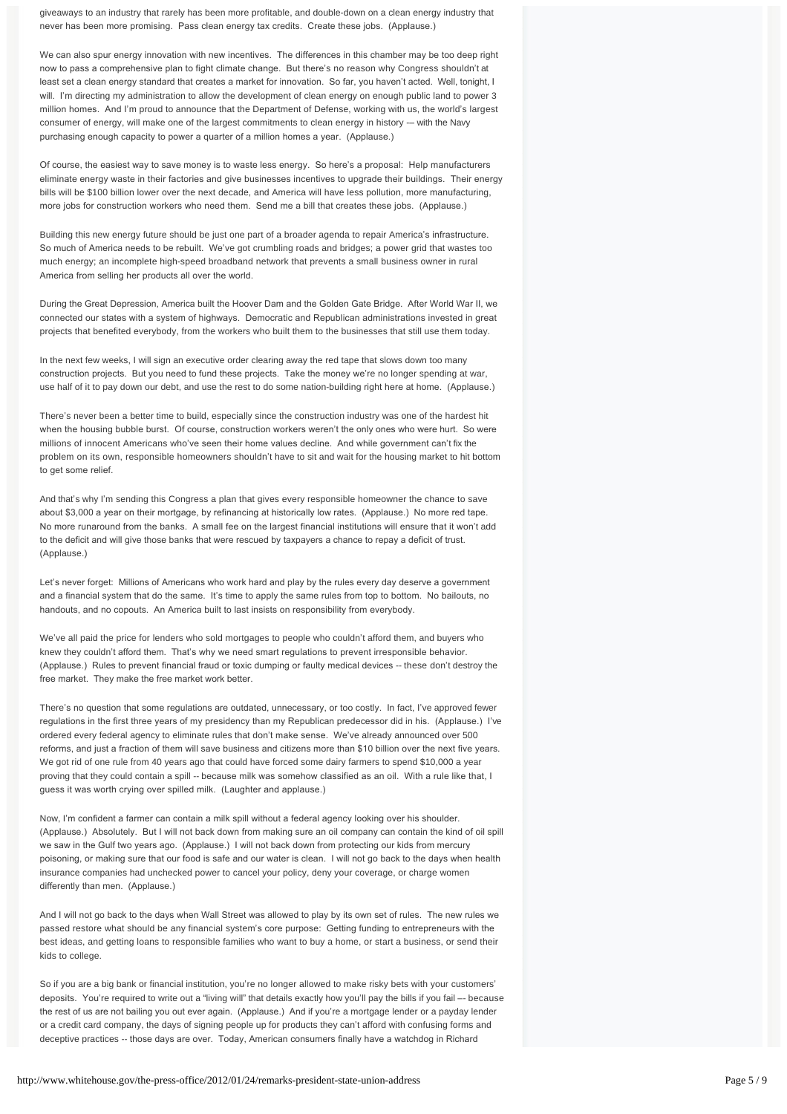giveaways to an industry that rarely has been more profitable, and double-down on a clean energy industry that never has been more promising. Pass clean energy tax credits. Create these jobs. (Applause.)

We can also spur energy innovation with new incentives. The differences in this chamber may be too deep right now to pass a comprehensive plan to fight climate change. But there's no reason why Congress shouldn't at least set a clean energy standard that creates a market for innovation. So far, you haven't acted. Well, tonight, I will. I'm directing my administration to allow the development of clean energy on enough public land to power 3 million homes. And I'm proud to announce that the Department of Defense, working with us, the world's largest consumer of energy, will make one of the largest commitments to clean energy in history -- with the Navy purchasing enough capacity to power a quarter of a million homes a year. (Applause.)

Of course, the easiest way to save money is to waste less energy. So here's a proposal: Help manufacturers eliminate energy waste in their factories and give businesses incentives to upgrade their buildings. Their energy bills will be \$100 billion lower over the next decade, and America will have less pollution, more manufacturing, more jobs for construction workers who need them. Send me a bill that creates these jobs. (Applause.)

Building this new energy future should be just one part of a broader agenda to repair America's infrastructure. So much of America needs to be rebuilt. We've got crumbling roads and bridges; a power grid that wastes too much energy; an incomplete high-speed broadband network that prevents a small business owner in rural America from selling her products all over the world.

During the Great Depression, America built the Hoover Dam and the Golden Gate Bridge. After World War II, we connected our states with a system of highways. Democratic and Republican administrations invested in great projects that benefited everybody, from the workers who built them to the businesses that still use them today.

In the next few weeks, I will sign an executive order clearing away the red tape that slows down too many construction projects. But you need to fund these projects. Take the money we're no longer spending at war, use half of it to pay down our debt, and use the rest to do some nation-building right here at home. (Applause.)

There's never been a better time to build, especially since the construction industry was one of the hardest hit when the housing bubble burst. Of course, construction workers weren't the only ones who were hurt. So were millions of innocent Americans who've seen their home values decline. And while government can't fix the problem on its own, responsible homeowners shouldn't have to sit and wait for the housing market to hit bottom to get some relief.

And that's why I'm sending this Congress a plan that gives every responsible homeowner the chance to save about \$3,000 a year on their mortgage, by refinancing at historically low rates. (Applause.) No more red tape. No more runaround from the banks. A small fee on the largest financial institutions will ensure that it won't add to the deficit and will give those banks that were rescued by taxpayers a chance to repay a deficit of trust. (Applause.)

Let's never forget: Millions of Americans who work hard and play by the rules every day deserve a government and a financial system that do the same. It's time to apply the same rules from top to bottom. No bailouts, no handouts, and no copouts. An America built to last insists on responsibility from everybody.

We've all paid the price for lenders who sold mortgages to people who couldn't afford them, and buyers who knew they couldn't afford them. That's why we need smart regulations to prevent irresponsible behavior. (Applause.) Rules to prevent financial fraud or toxic dumping or faulty medical devices -- these don't destroy the free market. They make the free market work better.

There's no question that some regulations are outdated, unnecessary, or too costly. In fact, I've approved fewer regulations in the first three years of my presidency than my Republican predecessor did in his. (Applause.) I've ordered every federal agency to eliminate rules that don't make sense. We've already announced over 500 reforms, and just a fraction of them will save business and citizens more than \$10 billion over the next five years. We got rid of one rule from 40 years ago that could have forced some dairy farmers to spend \$10,000 a year proving that they could contain a spill -- because milk was somehow classified as an oil. With a rule like that, I guess it was worth crying over spilled milk. (Laughter and applause.)

Now, I'm confident a farmer can contain a milk spill without a federal agency looking over his shoulder. (Applause.) Absolutely. But I will not back down from making sure an oil company can contain the kind of oil spill we saw in the Gulf two years ago. (Applause.) I will not back down from protecting our kids from mercury poisoning, or making sure that our food is safe and our water is clean. I will not go back to the days when health insurance companies had unchecked power to cancel your policy, deny your coverage, or charge women differently than men. (Applause.)

And I will not go back to the days when Wall Street was allowed to play by its own set of rules. The new rules we passed restore what should be any financial system's core purpose: Getting funding to entrepreneurs with the best ideas, and getting loans to responsible families who want to buy a home, or start a business, or send their kids to college.

So if you are a big bank or financial institution, you're no longer allowed to make risky bets with your customers' deposits. You're required to write out a "living will" that details exactly how you'll pay the bills if you fail –- because the rest of us are not bailing you out ever again. (Applause.) And if you're a mortgage lender or a payday lender or a credit card company, the days of signing people up for products they can't afford with confusing forms and deceptive practices -- those days are over. Today, American consumers finally have a watchdog in Richard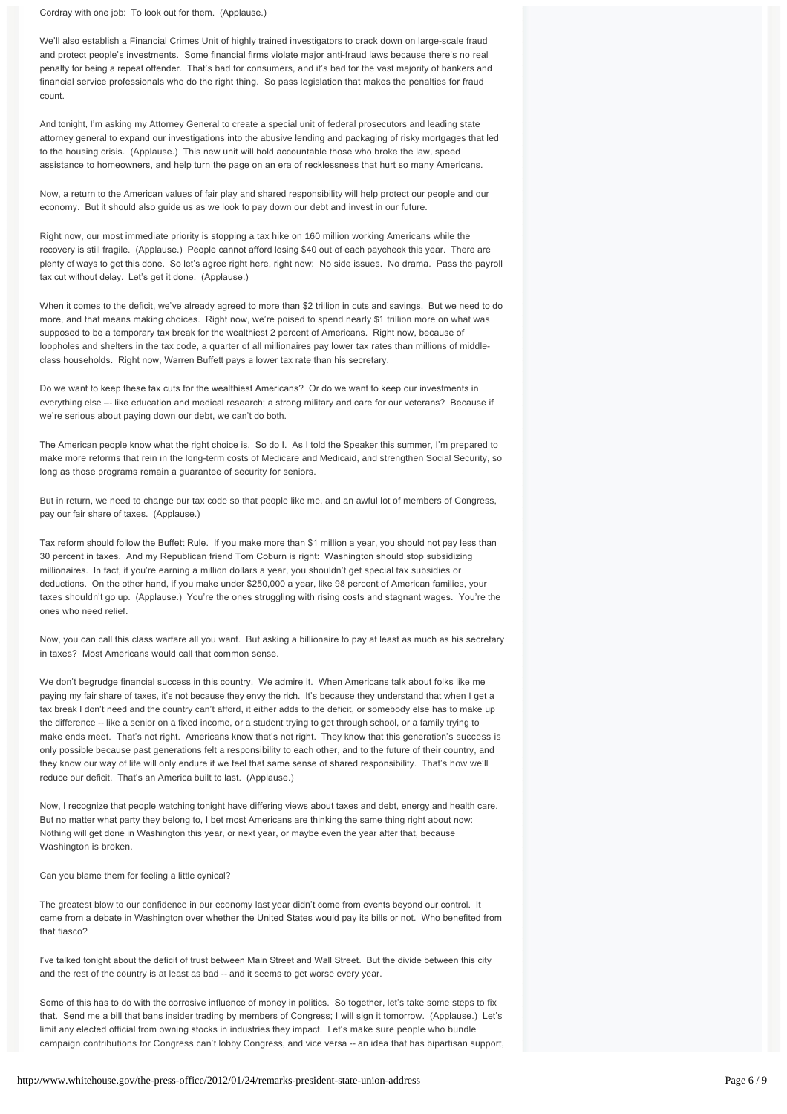Cordray with one job: To look out for them. (Applause.)

We'll also establish a Financial Crimes Unit of highly trained investigators to crack down on large-scale fraud and protect people's investments. Some financial firms violate major anti-fraud laws because there's no real penalty for being a repeat offender. That's bad for consumers, and it's bad for the vast majority of bankers and financial service professionals who do the right thing. So pass legislation that makes the penalties for fraud count.

And tonight, I'm asking my Attorney General to create a special unit of federal prosecutors and leading state attorney general to expand our investigations into the abusive lending and packaging of risky mortgages that led to the housing crisis. (Applause.) This new unit will hold accountable those who broke the law, speed assistance to homeowners, and help turn the page on an era of recklessness that hurt so many Americans.

Now, a return to the American values of fair play and shared responsibility will help protect our people and our economy. But it should also guide us as we look to pay down our debt and invest in our future.

Right now, our most immediate priority is stopping a tax hike on 160 million working Americans while the recovery is still fragile. (Applause.) People cannot afford losing \$40 out of each paycheck this year. There are plenty of ways to get this done. So let's agree right here, right now: No side issues. No drama. Pass the payroll tax cut without delay. Let's get it done. (Applause.)

When it comes to the deficit, we've already agreed to more than \$2 trillion in cuts and savings. But we need to do more, and that means making choices. Right now, we're poised to spend nearly \$1 trillion more on what was supposed to be a temporary tax break for the wealthiest 2 percent of Americans. Right now, because of loopholes and shelters in the tax code, a quarter of all millionaires pay lower tax rates than millions of middleclass households. Right now, Warren Buffett pays a lower tax rate than his secretary.

Do we want to keep these tax cuts for the wealthiest Americans? Or do we want to keep our investments in everything else –- like education and medical research; a strong military and care for our veterans? Because if we're serious about paying down our debt, we can't do both.

The American people know what the right choice is. So do I. As I told the Speaker this summer, I'm prepared to make more reforms that rein in the long-term costs of Medicare and Medicaid, and strengthen Social Security, so long as those programs remain a guarantee of security for seniors.

But in return, we need to change our tax code so that people like me, and an awful lot of members of Congress, pay our fair share of taxes. (Applause.)

Tax reform should follow the Buffett Rule. If you make more than \$1 million a year, you should not pay less than 30 percent in taxes. And my Republican friend Tom Coburn is right: Washington should stop subsidizing millionaires. In fact, if you're earning a million dollars a year, you shouldn't get special tax subsidies or deductions. On the other hand, if you make under \$250,000 a year, like 98 percent of American families, your taxes shouldn't go up. (Applause.) You're the ones struggling with rising costs and stagnant wages. You're the ones who need relief.

Now, you can call this class warfare all you want. But asking a billionaire to pay at least as much as his secretary in taxes? Most Americans would call that common sense.

We don't begrudge financial success in this country. We admire it. When Americans talk about folks like me paying my fair share of taxes, it's not because they envy the rich. It's because they understand that when I get a tax break I don't need and the country can't afford, it either adds to the deficit, or somebody else has to make up the difference -- like a senior on a fixed income, or a student trying to get through school, or a family trying to make ends meet. That's not right. Americans know that's not right. They know that this generation's success is only possible because past generations felt a responsibility to each other, and to the future of their country, and they know our way of life will only endure if we feel that same sense of shared responsibility. That's how we'll reduce our deficit. That's an America built to last. (Applause.)

Now, I recognize that people watching tonight have differing views about taxes and debt, energy and health care. But no matter what party they belong to, I bet most Americans are thinking the same thing right about now: Nothing will get done in Washington this year, or next year, or maybe even the year after that, because Washington is broken.

Can you blame them for feeling a little cynical?

The greatest blow to our confidence in our economy last year didn't come from events beyond our control. It came from a debate in Washington over whether the United States would pay its bills or not. Who benefited from that fiasco?

I've talked tonight about the deficit of trust between Main Street and Wall Street. But the divide between this city and the rest of the country is at least as bad -- and it seems to get worse every year.

Some of this has to do with the corrosive influence of money in politics. So together, let's take some steps to fix that. Send me a bill that bans insider trading by members of Congress; I will sign it tomorrow. (Applause.) Let's limit any elected official from owning stocks in industries they impact. Let's make sure people who bundle campaign contributions for Congress can't lobby Congress, and vice versa -- an idea that has bipartisan support,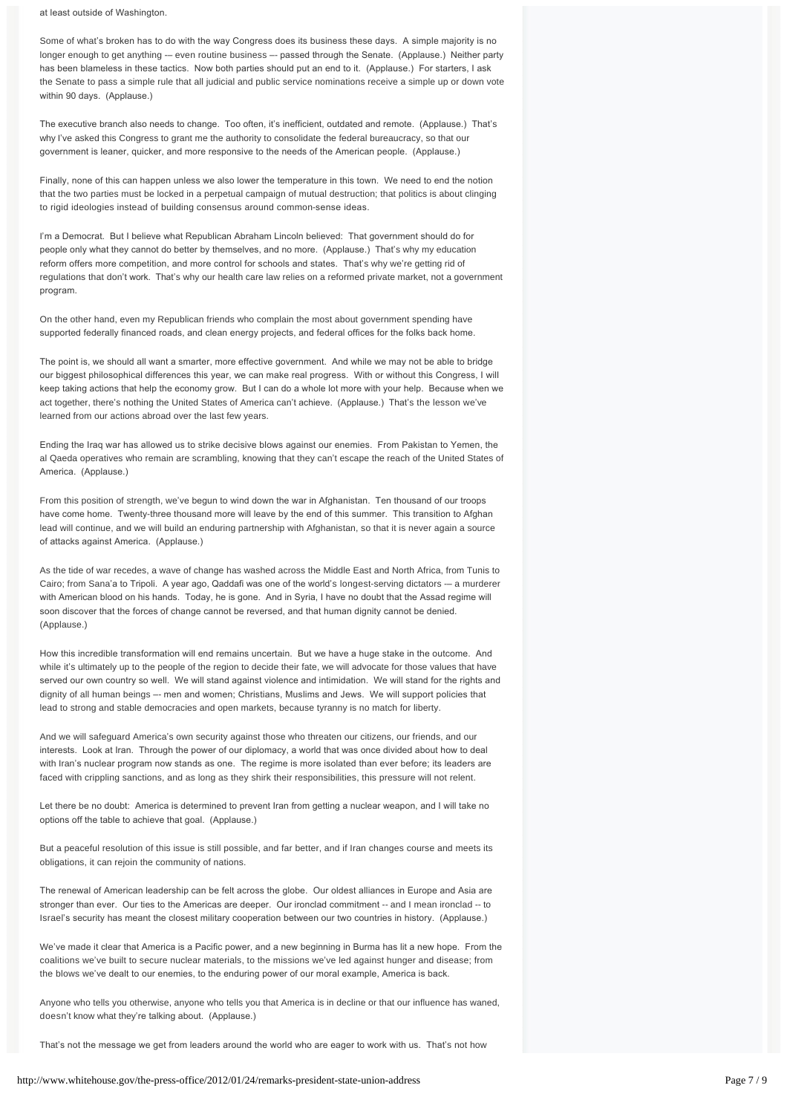at least outside of Washington.

Some of what's broken has to do with the way Congress does its business these days. A simple majority is no longer enough to get anything -- even routine business -- passed through the Senate. (Applause.) Neither party has been blameless in these tactics. Now both parties should put an end to it. (Applause.) For starters, I ask the Senate to pass a simple rule that all judicial and public service nominations receive a simple up or down vote within 90 days. (Applause.)

The executive branch also needs to change. Too often, it's inefficient, outdated and remote. (Applause.) That's why I've asked this Congress to grant me the authority to consolidate the federal bureaucracy, so that our government is leaner, quicker, and more responsive to the needs of the American people. (Applause.)

Finally, none of this can happen unless we also lower the temperature in this town. We need to end the notion that the two parties must be locked in a perpetual campaign of mutual destruction; that politics is about clinging to rigid ideologies instead of building consensus around common-sense ideas.

I'm a Democrat. But I believe what Republican Abraham Lincoln believed: That government should do for people only what they cannot do better by themselves, and no more. (Applause.) That's why my education reform offers more competition, and more control for schools and states. That's why we're getting rid of regulations that don't work. That's why our health care law relies on a reformed private market, not a government program.

On the other hand, even my Republican friends who complain the most about government spending have supported federally financed roads, and clean energy projects, and federal offices for the folks back home.

The point is, we should all want a smarter, more effective government. And while we may not be able to bridge our biggest philosophical differences this year, we can make real progress. With or without this Congress, I will keep taking actions that help the economy grow. But I can do a whole lot more with your help. Because when we act together, there's nothing the United States of America can't achieve. (Applause.) That's the lesson we've learned from our actions abroad over the last few years.

Ending the Iraq war has allowed us to strike decisive blows against our enemies. From Pakistan to Yemen, the al Qaeda operatives who remain are scrambling, knowing that they can't escape the reach of the United States of America. (Applause.)

From this position of strength, we've begun to wind down the war in Afghanistan. Ten thousand of our troops have come home. Twenty-three thousand more will leave by the end of this summer. This transition to Afghan lead will continue, and we will build an enduring partnership with Afghanistan, so that it is never again a source of attacks against America. (Applause.)

As the tide of war recedes, a wave of change has washed across the Middle East and North Africa, from Tunis to Cairo; from Sana'a to Tripoli. A year ago, Qaddafi was one of the world's longest-serving dictators -- a murderer with American blood on his hands. Today, he is gone. And in Syria, I have no doubt that the Assad regime will soon discover that the forces of change cannot be reversed, and that human dignity cannot be denied. (Applause.)

How this incredible transformation will end remains uncertain. But we have a huge stake in the outcome. And while it's ultimately up to the people of the region to decide their fate, we will advocate for those values that have served our own country so well. We will stand against violence and intimidation. We will stand for the rights and dignity of all human beings –- men and women; Christians, Muslims and Jews. We will support policies that lead to strong and stable democracies and open markets, because tyranny is no match for liberty.

And we will safeguard America's own security against those who threaten our citizens, our friends, and our interests. Look at Iran. Through the power of our diplomacy, a world that was once divided about how to deal with Iran's nuclear program now stands as one. The regime is more isolated than ever before; its leaders are faced with crippling sanctions, and as long as they shirk their responsibilities, this pressure will not relent.

Let there be no doubt: America is determined to prevent Iran from getting a nuclear weapon, and I will take no options off the table to achieve that goal. (Applause.)

But a peaceful resolution of this issue is still possible, and far better, and if Iran changes course and meets its obligations, it can rejoin the community of nations.

The renewal of American leadership can be felt across the globe. Our oldest alliances in Europe and Asia are stronger than ever. Our ties to the Americas are deeper. Our ironclad commitment -- and I mean ironclad -- to Israel's security has meant the closest military cooperation between our two countries in history. (Applause.)

We've made it clear that America is a Pacific power, and a new beginning in Burma has lit a new hope. From the coalitions we've built to secure nuclear materials, to the missions we've led against hunger and disease; from the blows we've dealt to our enemies, to the enduring power of our moral example, America is back.

Anyone who tells you otherwise, anyone who tells you that America is in decline or that our influence has waned, doesn't know what they're talking about. (Applause.)

That's not the message we get from leaders around the world who are eager to work with us. That's not how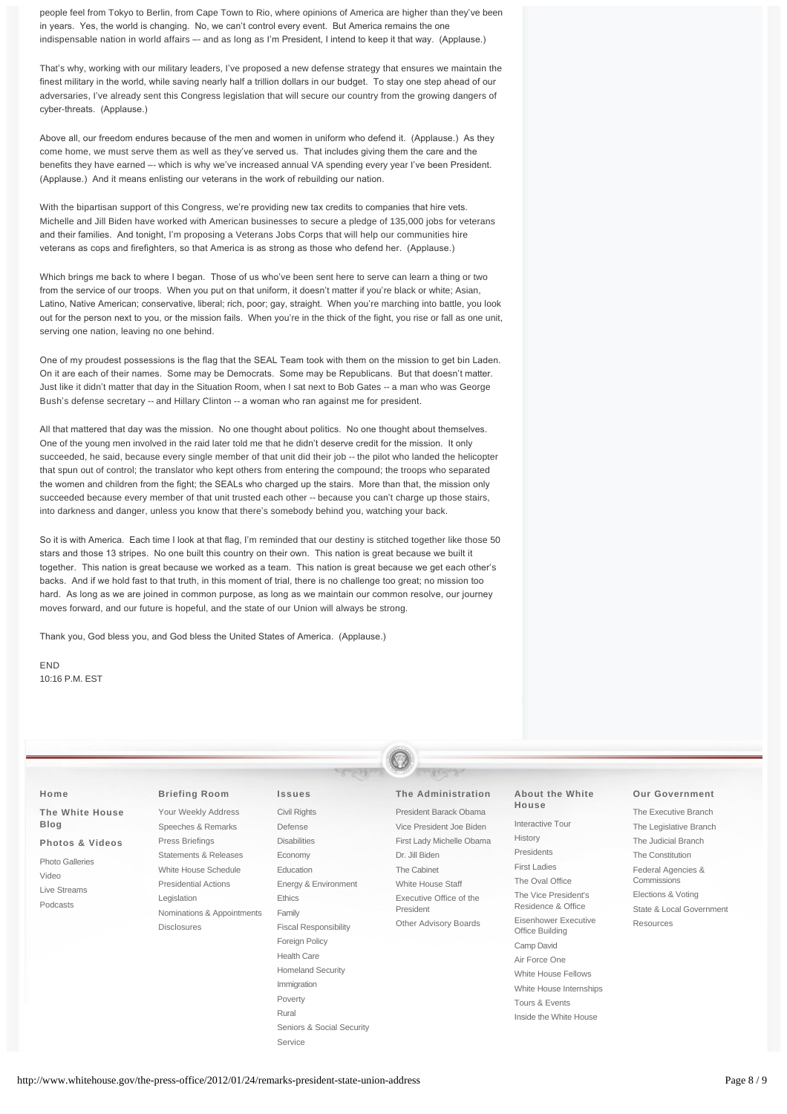people feel from Tokyo to Berlin, from Cape Town to Rio, where opinions of America are higher than they've been in years. Yes, the world is changing. No, we can't control every event. But America remains the one indispensable nation in world affairs -- and as long as I'm President, I intend to keep it that way. (Applause.)

That's why, working with our military leaders, I've proposed a new defense strategy that ensures we maintain the finest military in the world, while saving nearly half a trillion dollars in our budget. To stay one step ahead of our adversaries, I've already sent this Congress legislation that will secure our country from the growing dangers of cyber-threats. (Applause.)

Above all, our freedom endures because of the men and women in uniform who defend it. (Applause.) As they come home, we must serve them as well as they've served us. That includes giving them the care and the benefits they have earned –- which is why we've increased annual VA spending every year I've been President. (Applause.) And it means enlisting our veterans in the work of rebuilding our nation.

With the bipartisan support of this Congress, we're providing new tax credits to companies that hire vets. Michelle and Jill Biden have worked with American businesses to secure a pledge of 135,000 jobs for veterans and their families. And tonight, I'm proposing a Veterans Jobs Corps that will help our communities hire veterans as cops and firefighters, so that America is as strong as those who defend her. (Applause.)

Which brings me back to where I began. Those of us who've been sent here to serve can learn a thing or two from the service of our troops. When you put on that uniform, it doesn't matter if you're black or white; Asian, Latino, Native American; conservative, liberal; rich, poor; gay, straight. When you're marching into battle, you look out for the person next to you, or the mission fails. When you're in the thick of the fight, you rise or fall as one unit, serving one nation, leaving no one behind.

One of my proudest possessions is the flag that the SEAL Team took with them on the mission to get bin Laden. On it are each of their names. Some may be Democrats. Some may be Republicans. But that doesn't matter. Just like it didn't matter that day in the Situation Room, when I sat next to Bob Gates -- a man who was George Bush's defense secretary -- and Hillary Clinton -- a woman who ran against me for president.

All that mattered that day was the mission. No one thought about politics. No one thought about themselves. One of the young men involved in the raid later told me that he didn't deserve credit for the mission. It only succeeded, he said, because every single member of that unit did their job -- the pilot who landed the helicopter that spun out of control; the translator who kept others from entering the compound; the troops who separated the women and children from the fight; the SEALs who charged up the stairs. More than that, the mission only succeeded because every member of that unit trusted each other -- because you can't charge up those stairs, into darkness and danger, unless you know that there's somebody behind you, watching your back.

So it is with America. Each time I look at that flag, I'm reminded that our destiny is stitched together like those 50 stars and those 13 stripes. No one built this country on their own. This nation is great because we built it together. This nation is great because we worked as a team. This nation is great because we get each other's backs. And if we hold fast to that truth, in this moment of trial, there is no challenge too great; no mission too hard. As long as we are joined in common purpose, as long as we maintain our common resolve, our journey moves forward, and our future is hopeful, and the state of our Union will always be strong.

Thank you, God bless you, and God bless the United States of America. (Applause.)

END 10:16 P.M. EST

| Home<br>The White House                                                                                                                                                                                                                              | <b>Briefing Room</b><br>Your Weekly Address                   | <b>Issues</b><br>Civil Rights                              | The Administration<br>President Barack Obama                           | About the White<br>House                                      | <b>Our Government</b><br>The Executive Branch |
|------------------------------------------------------------------------------------------------------------------------------------------------------------------------------------------------------------------------------------------------------|---------------------------------------------------------------|------------------------------------------------------------|------------------------------------------------------------------------|---------------------------------------------------------------|-----------------------------------------------|
| <b>Blog</b>                                                                                                                                                                                                                                          | Speeches & Remarks                                            | Defense                                                    | Vice President Joe Biden                                               | Interactive Tour                                              | The Legislative Branch                        |
| Press Briefings<br>Photos & Videos<br>Statements & Releases<br><b>Photo Galleries</b><br>White House Schedule<br>Video<br><b>Presidential Actions</b><br>Live Streams<br>Legislation<br>Podcasts<br>Nominations & Appointments<br><b>Disclosures</b> | <b>Disabilities</b><br>Economy<br>Education                   | First Lady Michelle Obama<br>Dr. Jill Biden<br>The Cabinet | History<br>Presidents<br><b>First Ladies</b>                           | The Judicial Branch<br>The Constitution<br>Federal Agencies & |                                               |
|                                                                                                                                                                                                                                                      | Energy & Environment<br>Ethics<br>Family                      | White House Staff<br>Executive Office of the<br>President  | The Oval Office<br>The Vice President's<br>Residence & Office          | Commissions<br>Elections & Voting<br>State & Local Government |                                               |
|                                                                                                                                                                                                                                                      | <b>Fiscal Responsibility</b><br>Foreign Policy<br>Health Care | Other Advisory Boards                                      | Eisenhower Executive<br>Office Building<br>Camp David<br>Air Force One | Resources                                                     |                                               |
|                                                                                                                                                                                                                                                      | <b>Homeland Security</b><br>Immigration<br>Poverty<br>Rural   |                                                            | White House Fellows<br>White House Internships<br>Tours & Events       |                                                               |                                               |

[Seniors & Social Security](http://www.whitehouse.gov/issues/seniors-and-social-security)

[Service](http://www.whitehouse.gov/issues/service)